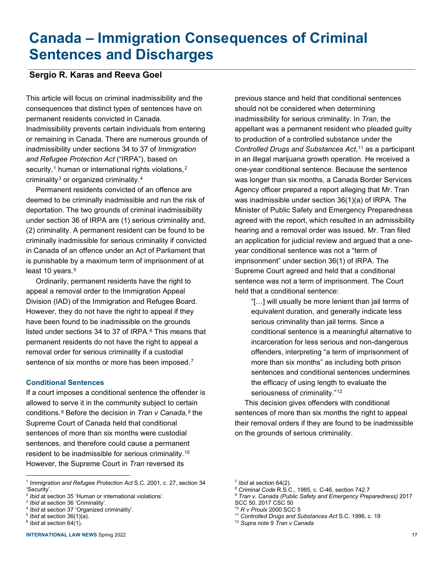# **Canada – Immigration Consequences of Criminal Sentences and Discharges**

## **Sergio R. Karas and Reeva Goel**

This article will focus on criminal inadmissibility and the consequences that distinct types of sentences have on permanent residents convicted in Canada. Inadmissibility prevents certain individuals from entering or remaining in Canada. There are numerous grounds of

inadmissibility under sections 34 to 37 of *Immigration and Refugee Protection Act* ("IRPA"), based on security,<sup>[1](#page-0-0)</sup> human or international rights violations,<sup>[2](#page-0-1)</sup> criminality<sup>[3](#page-0-2)</sup> or organized criminality.<sup>[4](#page-0-3)</sup>

Permanent residents convicted of an offence are deemed to be criminally inadmissible and run the risk of deportation. The two grounds of criminal inadmissibility under section 36 of IRPA are (1) serious criminality and, (2) criminality. A permanent resident can be found to be criminally inadmissible for serious criminality if convicted in Canada of an offence under an Act of Parliament that is punishable by a maximum term of imprisonment of at least 10 years.<sup>[5](#page-0-4)</sup>

Ordinarily, permanent residents have the right to appeal a removal order to the Immigration Appeal Division (IAD) of the Immigration and Refugee Board. However, they do not have the right to appeal if they have been found to be inadmissible on the grounds listed under sections 34 to 37 of IRPA. $6$  This means that permanent residents do not have the right to appeal a removal order for serious criminality if a custodial sentence of six months or more has been imposed.<sup>[7](#page-0-0)</sup>

### **Conditional Sentences**

If a court imposes a conditional sentence the offender is allowed to serve it in the community subject to certain conditions.[8](#page-0-6) Before the decision in *Tran v Canada,[9](#page-0-1)* the Supreme Court of Canada held that conditional sentences of more than six months were custodial sentences, and therefore could cause a permanent resident to be inadmissible for serious criminality.[10](#page-0-3) However, the Supreme Court in *Tran* reversed its

previous stance and held that conditional sentences should not be considered when determining inadmissibility for serious criminality. In *Tran*, the appellant was a permanent resident who pleaded guilty to production of a controlled substance under the *Controlled Drugs and Substances Act*,<sup>[11](#page-0-4)</sup> as a participant in an illegal marijuana growth operation. He received a one-year conditional sentence. Because the sentence was longer than six months, a Canada Border Services Agency officer prepared a report alleging that Mr. Tran was inadmissible under section 36(1)(a) of IRPA. The Minister of Public Safety and Emergency Preparedness agreed with the report, which resulted in an admissibility hearing and a removal order was issued. Mr. Tran filed an application for judicial review and argued that a oneyear conditional sentence was not a "term of imprisonment" under section 36(1) of IRPA. The Supreme Court agreed and held that a conditional sentence was not a term of imprisonment. The Court held that a conditional sentence:

"[…] will usually be more lenient than jail terms of equivalent duration, and generally indicate less serious criminality than jail terms. Since a conditional sentence is a meaningful alternative to incarceration for less serious and non-dangerous offenders, interpreting "a term of imprisonment of more than six months" as including both prison sentences and conditional sentences undermines the efficacy of using length to evaluate the seriousness of criminality."<sup>[12](#page-0-5)</sup>

This decision gives offenders with conditional sentences of more than six months the right to appeal their removal orders if they are found to be inadmissible on the grounds of serious criminality.

<sup>11</sup> *Controlled Drugs and Substances Act* S.C. 1996, c. 19

<span id="page-0-0"></span><sup>1</sup> *Immigration and Refugee Protection Act* S.C. 2001, c. 27, section 34 'Security'.

<span id="page-0-6"></span><span id="page-0-1"></span><sup>2</sup> *Ibid* at section 35 'Human or international violations'.

<span id="page-0-2"></span><sup>3</sup> *Ibid* at section 36 'Criminality'.

<span id="page-0-3"></span><sup>4</sup> *Ibid* at section 37 'Organized criminality'.

<span id="page-0-4"></span><sup>5</sup> *Ibid* at section 36(1)(a).

<span id="page-0-5"></span><sup>6</sup> *Ibid* at section 64(1).

<sup>7</sup> *Ibid* at section 64(2).

<sup>8</sup> *Criminal Code* R.S.C., 1985, c. C-46, section 742.7

<sup>9</sup> *Tran v. Canada (Public Safety and Emergency Preparedness)* 2017 SCC 50, 2017 CSC 50

<sup>10</sup> *R v Proulx* 2000 SCC 5

<sup>12</sup> *Supra note* 9 *Tran v Canada*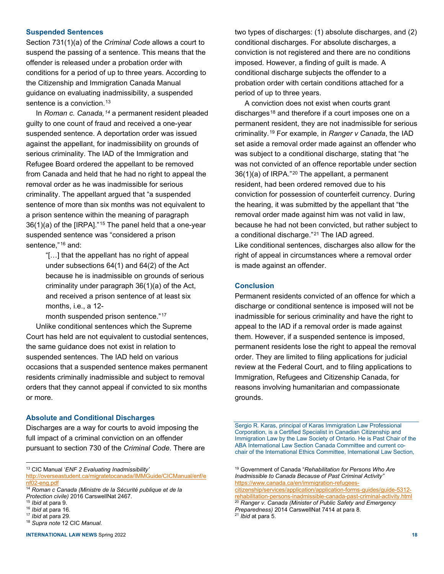#### **Suspended Sentences**

Section 731(1)(a) of the *Criminal Code* allows a court to suspend the passing of a sentence. This means that the offender is released under a probation order with conditions for a period of up to three years. According to the Citizenship and Immigration Canada Manual guidance on evaluating inadmissibility, a suspended sentence is a conviction.<sup>[13](#page-1-0)</sup>

In *Roman c. Canada,[14](#page-1-1)* a permanent resident pleaded guilty to one count of fraud and received a one-year suspended sentence. A deportation order was issued against the appellant, for inadmissibility on grounds of serious criminality. The IAD of the Immigration and Refugee Board ordered the appellant to be removed from Canada and held that he had no right to appeal the removal order as he was inadmissible for serious criminality. The appellant argued that "a suspended sentence of more than six months was not equivalent to a prison sentence within the meaning of paragraph 36(1)(a) of the [IRPA]."[15](#page-1-2) The panel held that a one-year suspended sentence was "considered a prison sentence,"[16](#page-1-3) and:

> "[…] that the appellant has no right of appeal under subsections 64(1) and 64(2) of the Act because he is inadmissible on grounds of serious criminality under paragraph 36(1)(a) of the Act, and received a prison sentence of at least six months, i.e., a 12-

month suspended prison sentence."<sup>[17](#page-1-4)</sup>

Unlike conditional sentences which the Supreme Court has held are not equivalent to custodial sentences, the same guidance does not exist in relation to suspended sentences. The IAD held on various occasions that a suspended sentence makes permanent residents criminally inadmissible and subject to removal orders that they cannot appeal if convicted to six months or more.

#### **Absolute and Conditional Discharges**

Discharges are a way for courts to avoid imposing the full impact of a criminal conviction on an offender pursuant to section 730 of the *Criminal Code*. There are two types of discharges: (1) absolute discharges, and (2) conditional discharges. For absolute discharges, a conviction is not registered and there are no conditions imposed. However, a finding of guilt is made. A conditional discharge subjects the offender to a probation order with certain conditions attached for a period of up to three years.

A conviction does not exist when courts grant discharges<sup>[18](#page-1-5)</sup> and therefore if a court imposes one on a permanent resident, they are not inadmissible for serious criminality.[19](#page-1-0) For example, in *Ranger v Canada*, the IAD set aside a removal order made against an offender who was subject to a conditional discharge, stating that "he was not convicted of an offence reportable under section 36(1)(a) of IRPA."[20](#page-1-2) The appellant, a permanent resident, had been ordered removed due to his conviction for possession of counterfeit currency. During the hearing, it was submitted by the appellant that "the removal order made against him was not valid in law, because he had not been convicted, but rather subject to a conditional discharge."[21](#page-1-4) The IAD agreed. Like conditional sentences, discharges also allow for the right of appeal in circumstances where a removal order is made against an offender.

#### **Conclusion**

Permanent residents convicted of an offence for which a discharge or conditional sentence is imposed will not be inadmissible for serious criminality and have the right to appeal to the IAD if a removal order is made against them. However, if a suspended sentence is imposed, permanent residents lose the right to appeal the removal order. They are limited to filing applications for judicial review at the Federal Court, and to filing applications to Immigration, Refugees and Citizenship Canada, for reasons involving humanitarian and compassionate grounds.

Sergio R. Karas, principal of Karas Immigration Law Professional Corporation, is a Certified Specialist in Canadian Citizenship and Immigration Law by the Law Society of Ontario. He is Past Chair of the ABA International Law Section Canada Committee and current cochair of the International Ethics Committee, International Law Section,

<span id="page-1-0"></span><sup>13</sup> CIC Manual '*ENF 2 Evaluating Inadmissibility'*

[http://overseastudent.ca/migratetocanada/IMMGuide/CICManual/enf/e](http://overseastudent.ca/migratetocanada/IMMGuide/CICManual/enf/enf02-eng.pdf) [nf02-eng.pdf](http://overseastudent.ca/migratetocanada/IMMGuide/CICManual/enf/enf02-eng.pdf)

<span id="page-1-1"></span><sup>14</sup> *Roman c Canada (Ministre de la Sécurité publique et de la Protection civile)* 2016 CarswellNat 2467.

<span id="page-1-2"></span><sup>15</sup> *Ibid* at para 9.

<span id="page-1-3"></span><sup>16</sup> *Ibid* at para 16.

<span id="page-1-5"></span><span id="page-1-4"></span><sup>17</sup> *Ibid* at para 29. <sup>18</sup> *Supra note* 12 CIC *Manual*.

**INTERNATIONAL LAW NEWS** Spring 2022 **18**

<sup>19</sup> Government of Canada "*Rehabilitation for Persons Who Are Inadmissible to Canada Because of Past Criminal Activity"* [https://www.canada.ca/en/immigration-refugees](https://www.canada.ca/en/immigration-refugees-citizenship/services/application/application-forms-guides/guide-5312-rehabilitation-persons-inadmissible-canada-past-criminal-activity.html)[citizenship/services/application/application-forms-guides/guide-5312-](https://www.canada.ca/en/immigration-refugees-citizenship/services/application/application-forms-guides/guide-5312-rehabilitation-persons-inadmissible-canada-past-criminal-activity.html)

[rehabilitation-persons-inadmissible-canada-past-criminal-activity.html](https://www.canada.ca/en/immigration-refugees-citizenship/services/application/application-forms-guides/guide-5312-rehabilitation-persons-inadmissible-canada-past-criminal-activity.html) <sup>20</sup> *Ranger v. Canada (Minister of Public Safety and Emergency Preparedness)* 2014 CarswellNat 7414 at para 8. <sup>21</sup> *Ibid* at para 5.